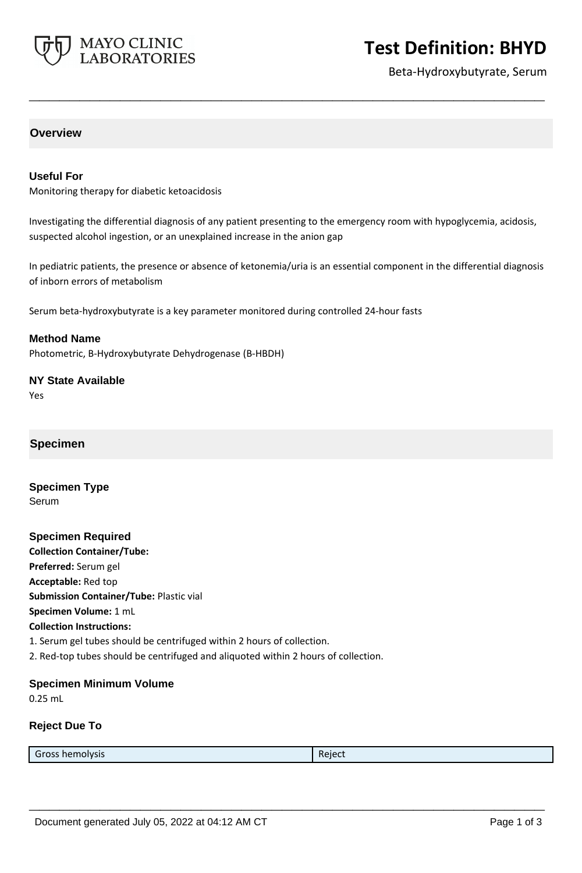

# **Test Definition: BHYD**

Beta-Hydroxybutyrate, Serum

# **Overview**

#### **Useful For**

Monitoring therapy for diabetic ketoacidosis

Investigating the differential diagnosis of any patient presenting to the emergency room with hypoglycemia, acidosis, suspected alcohol ingestion, or an unexplained increase in the anion gap

**\_\_\_\_\_\_\_\_\_\_\_\_\_\_\_\_\_\_\_\_\_\_\_\_\_\_\_\_\_\_\_\_\_\_\_\_\_\_\_\_\_\_\_\_\_\_\_\_\_\_\_**

In pediatric patients, the presence or absence of ketonemia/uria is an essential component in the differential diagnosis of inborn errors of metabolism

Serum beta-hydroxybutyrate is a key parameter monitored during controlled 24-hour fasts

**Method Name** Photometric, B-Hydroxybutyrate Dehydrogenase (B-HBDH)

# **NY State Available**

Yes

# **Specimen**

**Specimen Type** Serum

**Specimen Required Collection Container/Tube: Preferred:** Serum gel **Acceptable:** Red top **Submission Container/Tube:** Plastic vial **Specimen Volume:** 1 mL **Collection Instructions:** 1. Serum gel tubes should be centrifuged within 2 hours of collection. 2. Red-top tubes should be centrifuged and aliquoted within 2 hours of collection.

#### **Specimen Minimum Volume**

0.25 mL

### **Reject Due To**

Gross hemolysis **Reject Reject Reject** 

**\_\_\_\_\_\_\_\_\_\_\_\_\_\_\_\_\_\_\_\_\_\_\_\_\_\_\_\_\_\_\_\_\_\_\_\_\_\_\_\_\_\_\_\_\_\_\_\_\_\_\_**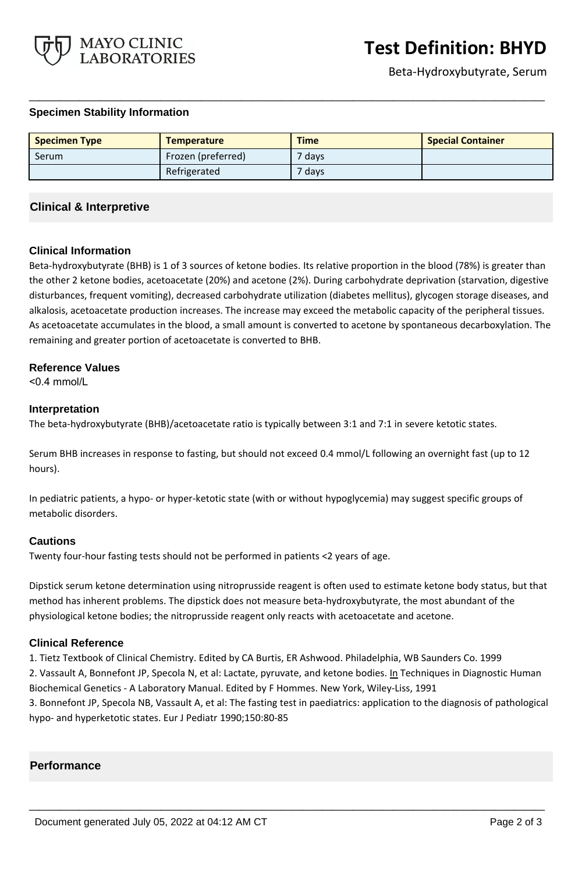

### **Specimen Stability Information**

| <b>Specimen Type</b> | <b>Temperature</b> | <b>Time</b> | <b>Special Container</b> |
|----------------------|--------------------|-------------|--------------------------|
| Serum                | Frozen (preferred) | 7 days      |                          |
|                      | Refrigerated       | $7$ days    |                          |

**\_\_\_\_\_\_\_\_\_\_\_\_\_\_\_\_\_\_\_\_\_\_\_\_\_\_\_\_\_\_\_\_\_\_\_\_\_\_\_\_\_\_\_\_\_\_\_\_\_\_\_**

# **Clinical & Interpretive**

### **Clinical Information**

Beta-hydroxybutyrate (BHB) is 1 of 3 sources of ketone bodies. Its relative proportion in the blood (78%) is greater than the other 2 ketone bodies, acetoacetate (20%) and acetone (2%). During carbohydrate deprivation (starvation, digestive disturbances, frequent vomiting), decreased carbohydrate utilization (diabetes mellitus), glycogen storage diseases, and alkalosis, acetoacetate production increases. The increase may exceed the metabolic capacity of the peripheral tissues. As acetoacetate accumulates in the blood, a small amount is converted to acetone by spontaneous decarboxylation. The remaining and greater portion of acetoacetate is converted to BHB.

#### **Reference Values**

<0.4 mmol/L

#### **Interpretation**

The beta-hydroxybutyrate (BHB)/acetoacetate ratio is typically between 3:1 and 7:1 in severe ketotic states.

Serum BHB increases in response to fasting, but should not exceed 0.4 mmol/L following an overnight fast (up to 12 hours).

In pediatric patients, a hypo- or hyper-ketotic state (with or without hypoglycemia) may suggest specific groups of metabolic disorders.

### **Cautions**

Twenty four-hour fasting tests should not be performed in patients <2 years of age.

Dipstick serum ketone determination using nitroprusside reagent is often used to estimate ketone body status, but that method has inherent problems. The dipstick does not measure beta-hydroxybutyrate, the most abundant of the physiological ketone bodies; the nitroprusside reagent only reacts with acetoacetate and acetone.

### **Clinical Reference**

1. Tietz Textbook of Clinical Chemistry. Edited by CA Burtis, ER Ashwood. Philadelphia, WB Saunders Co. 1999 2. Vassault A, Bonnefont JP, Specola N, et al: Lactate, pyruvate, and ketone bodies. In Techniques in Diagnostic Human Biochemical Genetics - A Laboratory Manual. Edited by F Hommes. New York, Wiley-Liss, 1991

3. Bonnefont JP, Specola NB, Vassault A, et al: The fasting test in paediatrics: application to the diagnosis of pathological hypo- and hyperketotic states. Eur J Pediatr 1990;150:80-85

**\_\_\_\_\_\_\_\_\_\_\_\_\_\_\_\_\_\_\_\_\_\_\_\_\_\_\_\_\_\_\_\_\_\_\_\_\_\_\_\_\_\_\_\_\_\_\_\_\_\_\_**

### **Performance**